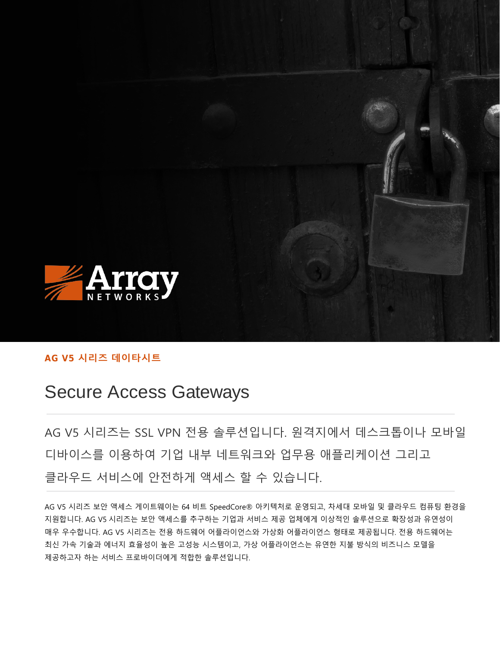

### **AG V5 시리즈 데이타시트**

# Secure Access Gateways

AG V5 시리즈는 SSL VPN 전용 솔루션입니다. 원격지에서 데스크톱이나 모바일 디바이스를 이용하여 기업 내부 네트워크와 업무용 애플리케이션 그리고 클라우드 서비스에 안전하게 액세스 할 수 있습니다.

AG V5 시리즈 보안 액세스 게이트웨이는 64 비트 SpeedCore® 아키텍처로 운영되고, 차세대 모바일 및 클라우드 컴퓨팅 환경을 지원합니다. AG V5 시리즈는 보안 액세스를 추구하는 기업과 서비스 제공 업체에게 이상적인 솔루션으로 확장성과 유연성이 매우 우수합니다. AG V5 시리즈는 전용 하드웨어 어플라이언스와 가상화 어플라이언스 형태로 제공됩니다. 전용 하드웨어는 최신 가속 기술과 에너지 효율성이 높은 고성능 시스템이고, 가상 어플라이언스는 유연한 지불 방식의 비즈니스 모델을 제공하고자 하는 서비스 프로바이더에게 적합한 솔루션입니다.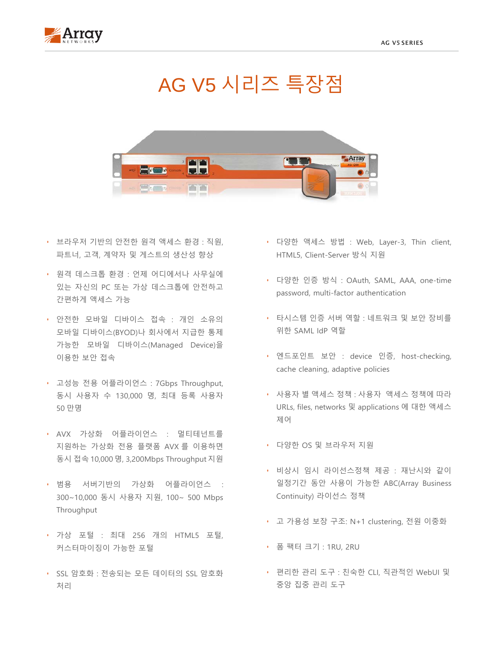

# AG V5 시리즈 특장점



- 브라우저 기반의 안전한 원격 액세스 환경 : 직원, 파트너, 고객, 계약자 및 게스트의 생산성 향상
- 원격 데스크톱 환경 : 언제 어디에서나 사무실에 있는 자신의 PC 또는 가상 데스크톱에 안전하고 간편하게 액세스 가능
- 안전한 모바일 디바이스 접속 : 개인 소유의 모바일 디바이스(BYOD)나 회사에서 지급한 통제 가능한 모바일 디바이스(Managed Device)을 이용한 보안 접속
- 고성능 전용 어플라이언스 : 7Gbps Throughput, 동시 사용자 수 130,000 명, 최대 등록 사용자 50 만명
- AVX 가상화 어플라이언스 : 멀티테넌트를 지원하는 가상화 전용 플랫폼 AVX 를 이용하면 동시 접속 10,000 명, 3,200Mbps Throughput 지원
- 범용 서버기반의 가상화 어플라이언스 : 300~10,000 동시 사용자 지원, 100~ 500 Mbps Throughput
- 가상 포털 : 최대 256 개의 HTML5 포털, 커스터마이징이 가능한 포털
- SSL 암호화 : 전송되는 모든 데이터의 SSL 암호화 처리
- 다양한 액세스 방법 : Web, Layer-3, Thin client, HTML5, Client-Server 방식 지원
- 다양한 인증 방식 : OAuth, SAML, AAA, one-time password, multi-factor authentication
- 타시스템 인증 서버 역할 : 네트워크 및 보안 장비를 위한 SAML IdP 역할
- 엔드포인트 보안 : device 인증, host-checking, cache cleaning, adaptive policies
- 사용자 별 액세스 정책 : 사용자 액세스 정책에 따라 URLs, files, networks 및 applications 에 대한 액세스 제어
- 다양한 OS 및 브라우저 지원
- 비상시 임시 라이선스정책 제공 : 재난시와 같이 일정기간 동안 사용이 가능한 ABC(Array Business Continuity) 라이선스 정책
- 고 가용성 보장 구조: N+1 clustering, 전원 이중화
- 폼 팩터 크기 : 1RU, 2RU
- 편리한 관리 도구 : 친숙한 CLI, 직관적인 WebUI 및 중앙 집중 관리 도구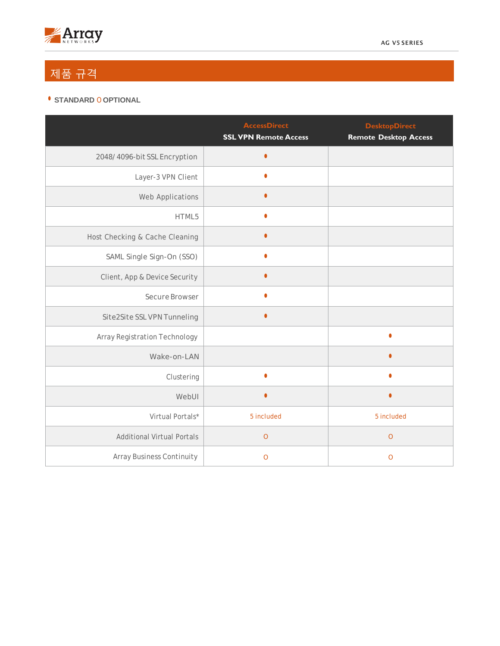

## 제품 규격

#### • **STANDARD** O **OPTIONAL**

|                                      | <b>AccessDirect</b><br><b>SSL VPN Remote Access</b> | <b>DesktopDirect</b><br><b>Remote Desktop Access</b> |
|--------------------------------------|-----------------------------------------------------|------------------------------------------------------|
| 2048/4096-bit SSL Encryption         | $\bullet$                                           |                                                      |
| Layer-3 VPN Client                   | $\bullet$                                           |                                                      |
| Web Applications                     | $\bullet$                                           |                                                      |
| HTML5                                | $\bullet$                                           |                                                      |
| Host Checking & Cache Cleaning       | ٥                                                   |                                                      |
| SAML Single Sign-On (SSO)            | $\bullet$                                           |                                                      |
| Client, App & Device Security        | $\bullet$                                           |                                                      |
| Secure Browser                       |                                                     |                                                      |
| Site2Site SSL VPN Tunneling          | $\bullet$                                           |                                                      |
| <b>Array Registration Technology</b> |                                                     | $\bullet$                                            |
| Wake-on-LAN                          |                                                     |                                                      |
| Clustering                           | ٠                                                   | ٠                                                    |
| WebUI                                | $\bullet$                                           | $\bullet$                                            |
| Virtual Portals*                     | 5 included                                          | 5 included                                           |
| <b>Additional Virtual Portals</b>    | $\mathbf O$                                         | $\mathbf{O}$                                         |
| <b>Array Business Continuity</b>     | $\mathbf{O}$                                        | $\mathbf O$                                          |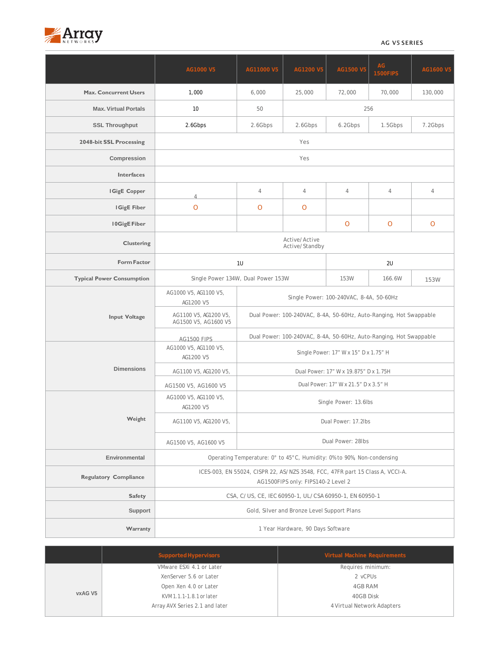

#### AG V5 SERIES

|                                  | AG1000 V5                                                                                                           | AG11000 V5                                                         | AG1200 V5      | AG1500 V5    | AG<br>1500FIPS | AG1600 V5      |  |  |
|----------------------------------|---------------------------------------------------------------------------------------------------------------------|--------------------------------------------------------------------|----------------|--------------|----------------|----------------|--|--|
| <b>Max. Concurrent Users</b>     | 1,000                                                                                                               | 6,000                                                              | 25,000         | 72,000       | 70,000         | 130,000        |  |  |
| <b>Max. Virtual Portals</b>      | 10                                                                                                                  | 50                                                                 |                |              | 256            |                |  |  |
| <b>SSL Throughput</b>            | 2.6Gbps                                                                                                             | 2.6Gbps                                                            | 2.6Gbps        | 6.2Gbps      | 1.5Gbps        | 7.2Gbps        |  |  |
| 2048-bit SSL Processing          | Yes                                                                                                                 |                                                                    |                |              |                |                |  |  |
| Compression                      | Yes                                                                                                                 |                                                                    |                |              |                |                |  |  |
| <b>Interfaces</b>                |                                                                                                                     |                                                                    |                |              |                |                |  |  |
| IGigE Copper                     | 4                                                                                                                   | 4                                                                  | $\overline{4}$ | 4            | 4              | $\overline{4}$ |  |  |
| <b>IGigE Fiber</b>               | $\overline{O}$                                                                                                      | O                                                                  | O              |              |                |                |  |  |
| <b>IOGigE Fiber</b>              |                                                                                                                     |                                                                    |                | $\mathsf{O}$ | O              | $\mathbf{O}$   |  |  |
| <b>Clustering</b>                | Active/Active<br>Active/Standby                                                                                     |                                                                    |                |              |                |                |  |  |
| <b>Form Factor</b>               | 1U                                                                                                                  |                                                                    |                | 2U           |                |                |  |  |
| <b>Typical Power Consumption</b> |                                                                                                                     | Single Power 134W, Dual Power 153W                                 |                | 153W         | 166.6W         | 153W           |  |  |
| <b>Input Voltage</b>             | AG1000 V5, AG1100 V5,<br>AG1200 V5                                                                                  | Single Power: 100-240VAC, 8-4A, 50-60Hz                            |                |              |                |                |  |  |
|                                  | AG1100 V5, AG1200 V5,<br>Dual Power: 100-240VAC, 8-4A, 50-60Hz, Auto-Ranging, Hot Swappable<br>AG1500 V5, AG1600 V5 |                                                                    |                |              |                |                |  |  |
|                                  | <b>AG1500 FIPS</b>                                                                                                  | Dual Power: 100-240VAC, 8-4A, 50-60Hz, Auto-Ranging, Hot Swappable |                |              |                |                |  |  |
| <b>Dimensions</b>                | AG1000 V5, AG1100 V5,<br>AG1200 V5                                                                                  | Single Power: 17" W x 15" D x 1.75" H                              |                |              |                |                |  |  |
|                                  | AG1100 V5, AG1200 V5,                                                                                               | Dual Power: 17" W x 19.875" D x 1.75H                              |                |              |                |                |  |  |
|                                  | AG1500 V5, AG1600 V5                                                                                                | Dual Power: 17" W x 21.5" D x 3.5" H                               |                |              |                |                |  |  |
| Weight                           | AG1000 V5, AG1100 V5,<br>AG1200 V5                                                                                  | Single Power: 13.6lbs                                              |                |              |                |                |  |  |
|                                  | AG1100 V5, AG1200 V5,                                                                                               | Dual Power: 17.2lbs                                                |                |              |                |                |  |  |
|                                  | AG1500 V5, AG1600 V5                                                                                                | Dual Power: 28lbs                                                  |                |              |                |                |  |  |
| Environmental                    | Operating Temperature: 0° to 45°C, Humidity: 0% to 90%, Non-condensing                                              |                                                                    |                |              |                |                |  |  |
| <b>Regulatory Compliance</b>     | ICES-003, EN 55024, CISPR 22, AS/NZS 3548, FCC, 47FR part 15 Class A, VCCI-A.<br>AG1500FIPS only: FIPS140-2 Level 2 |                                                                    |                |              |                |                |  |  |
| <b>Safety</b>                    | CSA, C/US, CE, IEC 60950-1, UL/CSA 60950-1, EN 60950-1                                                              |                                                                    |                |              |                |                |  |  |
| Support                          | Gold, Silver and Bronze Level Support Plans                                                                         |                                                                    |                |              |                |                |  |  |
| Warranty                         | 1 Year Hardware, 90 Days Software                                                                                   |                                                                    |                |              |                |                |  |  |

|                                                                                                                          | Supported Hypervisors    | Virtual Machine Requirements |
|--------------------------------------------------------------------------------------------------------------------------|--------------------------|------------------------------|
|                                                                                                                          | VMware ESXi 4.1 or Later | Requires minimum:            |
| XenServer 5.6 or Later<br>Open Xen 4.0 or Later<br>vxAG V5<br>KVM 1.1.1-1.8.1 or later<br>Array AVX Series 2.1 and later |                          | 2 vCPUs                      |
|                                                                                                                          |                          | 4GB RAM                      |
|                                                                                                                          |                          | 40GB Disk                    |
|                                                                                                                          |                          | 4 Virtual Network Adapters   |